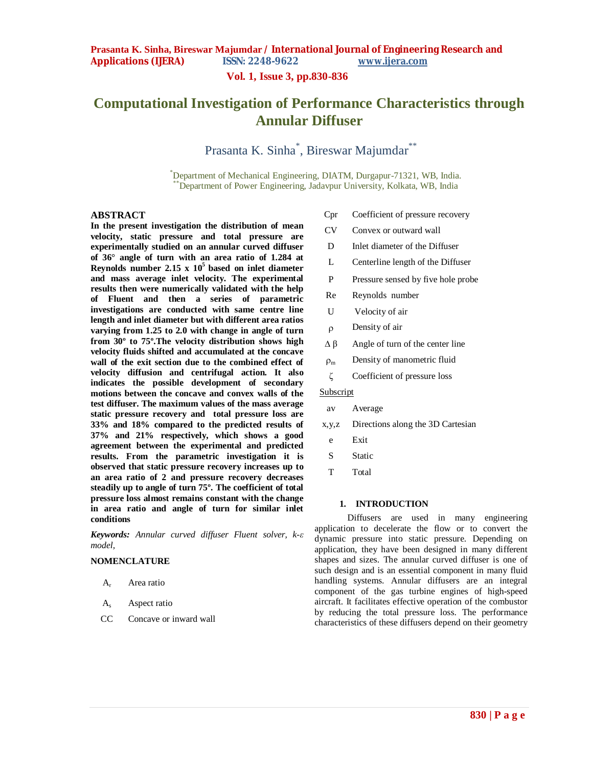**Vol. 1, Issue 3, pp.830-836**

# **Computational Investigation of Performance Characteristics through Annular Diffuser**

Prasanta K. Sinha<sup>\*</sup>, Bireswar Majumdar<sup>\*\*</sup>

\*Department of Mechanical Engineering, DIATM, Durgapur-71321, WB, India. \*\*Department of Power Engineering, Jadavpur University, Kolkata, WB, India

# **ABSTRACT**

**In the present investigation the distribution of mean velocity, static pressure and total pressure are experimentally studied on an annular curved diffuser of 36° angle of turn with an area ratio of 1.284 at Reynolds number 2.15**  $\times$  10<sup>5</sup> based on inlet diameter **and mass average inlet velocity. The experimental results then were numerically validated with the help of Fluent and then a series of parametric investigations are conducted with same centre line length and inlet diameter but with different area ratios varying from 1.25 to 2.0 with change in angle of turn from 30º to 75º.The velocity distribution shows high velocity fluids shifted and accumulated at the concave wall of the exit section due to the combined effect of velocity diffusion and centrifugal action. It also indicates the possible development of secondary motions between the concave and convex walls of the test diffuser. The maximum values of the mass average static pressure recovery and total pressure loss are 33% and 18% compared to the predicted results of 37% and 21% respectively, which shows a good agreement between the experimental and predicted results. From the parametric investigation it is observed that static pressure recovery increases up to an area ratio of 2 and pressure recovery decreases steadily up to angle of turn 75º. The coefficient of total pressure loss almost remains constant with the change in area ratio and angle of turn for similar inlet conditions**

*Keywords: Annular curved diffuser Fluent solver, k-ε model,* 

# **NOMENCLATURE**

- A<sub>r</sub> Area ratio
- A<sup>s</sup> Aspect ratio
- CC Concave or inward wall
- Cpr Coefficient of pressure recovery
- CV Convex or outward wall
- D Inlet diameter of the Diffuser
- L Centerline length of the Diffuser
- P Pressure sensed by five hole probe
- Re Reynolds number
- U Velocity of air
- Density of air
- $Δβ$  Angle of turn of the center line
- $\rho_m$  Density of manometric fluid
- ζ Coefficient of pressure loss

# Subscript

- av Average
- x,y,z Directions along the 3D Cartesian
- e Exit
- S<sub>static</sub>
- T Total

## **1. INTRODUCTION**

Diffusers are used in many engineering application to decelerate the flow or to convert the dynamic pressure into static pressure. Depending on application, they have been designed in many different shapes and sizes. The annular curved diffuser is one of such design and is an essential component in many fluid handling systems. Annular diffusers are an integral component of the gas turbine engines of high-speed aircraft. It facilitates effective operation of the combustor by reducing the total pressure loss. The performance characteristics of these diffusers depend on their geometry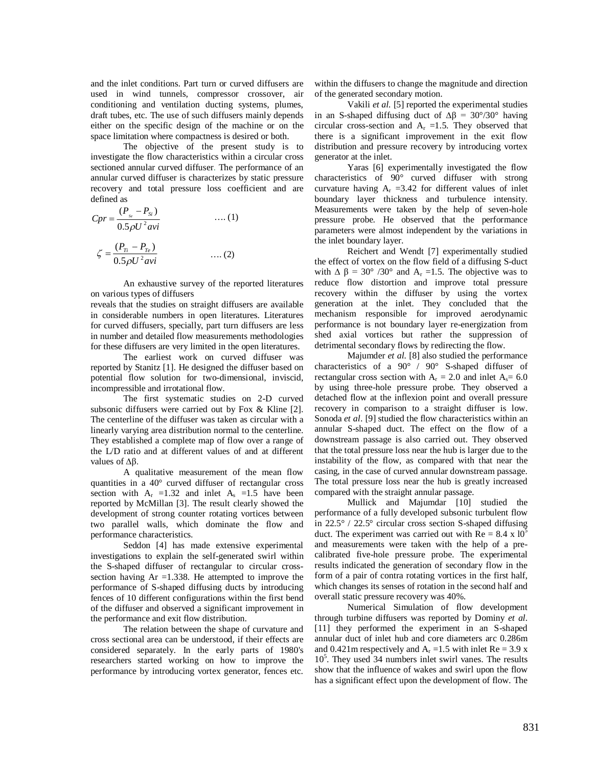and the inlet conditions. Part turn or curved diffusers are used in wind tunnels, compressor crossover, air conditioning and ventilation ducting systems, plumes, draft tubes, etc. The use of such diffusers mainly depends either on the specific design of the machine or on the space limitation where compactness is desired or both.

The objective of the present study is to investigate the flow characteristics within a circular cross sectioned annular curved diffuser. The performance of an annular curved diffuser is characterizes by static pressure recovery and total pressure loss coefficient and are defined as

*U avi P P Cpr Si Se* 2 0.5 ( ) …. (1) …. (2) *U avi PTi PTe* 2 0.5 ( ) 

An exhaustive survey of the reported literatures on various types of diffusers

reveals that the studies on straight diffusers are available in considerable numbers in open literatures. Literatures for curved diffusers, specially, part turn diffusers are less in number and detailed flow measurements methodologies for these diffusers are very limited in the open literatures.

The earliest work on curved diffuser was reported by Stanitz [1]. He designed the diffuser based on potential flow solution for two-dimensional, inviscid, incompressible and irrotational flow.

The first systematic studies on 2-D curved subsonic diffusers were carried out by Fox & Kline [2]. The centerline of the diffuser was taken as circular with a linearly varying area distribution normal to the centerline. They established a complete map of flow over a range of the L/D ratio and at different values of and at different values of ∆β.

A qualitative measurement of the mean flow quantities in a 40° curved diffuser of rectangular cross section with  $A_r = 1.32$  and inlet  $A_s = 1.5$  have been reported by McMillan [3]. The result clearly showed the development of strong counter rotating vortices between two parallel walls, which dominate the flow and performance characteristics.

Seddon [4] has made extensive experimental investigations to explain the self-generated swirl within the S-shaped diffuser of rectangular to circular crosssection having  $Ar = 1.338$ . He attempted to improve the performance of S-shaped diffusing ducts by introducing fences of 10 different configurations within the first bend of the diffuser and observed a significant improvement in the performance and exit flow distribution.

The relation between the shape of curvature and cross sectional area can be understood, if their effects are considered separately. In the early parts of 1980's researchers started working on how to improve the performance by introducing vortex generator, fences etc.

within the diffusers to change the magnitude and direction of the generated secondary motion.

Vakili *et al.* [5] reported the experimental studies in an S-shaped diffusing duct of  $\Delta \beta = 30^{\circ}/30^{\circ}$  having circular cross-section and  $A_r = 1.5$ . They observed that there is a significant improvement in the exit flow distribution and pressure recovery by introducing vortex generator at the inlet.

Yaras [6] experimentally investigated the flow characteristics of 90° curved diffuser with strong curvature having  $A_r = 3.42$  for different values of inlet boundary layer thickness and turbulence intensity. Measurements were taken by the help of seven-hole pressure probe. He observed that the performance parameters were almost independent by the variations in the inlet boundary layer.

Reichert and Wendt [7] experimentally studied the effect of vortex on the flow field of a diffusing S-duct with  $\Delta \beta = 30^{\circ}$  /30° and A<sub>r</sub> =1.5. The objective was to reduce flow distortion and improve total pressure recovery within the diffuser by using the vortex generation at the inlet. They concluded that the mechanism responsible for improved aerodynamic performance is not boundary layer re-energization from shed axial vortices but rather the suppression of detrimental secondary flows by redirecting the flow.

Majumder *et al.* [8] also studied the performance characteristics of a 90° / 90° S-shaped diffuser of rectangular cross section with  $A_r = 2.0$  and inlet  $A_s = 6.0$ by using three-hole pressure probe. They observed a detached flow at the inflexion point and overall pressure recovery in comparison to a straight diffuser is low. Sonoda *et al*. [9] studied the flow characteristics within an annular S-shaped duct. The effect on the flow of a downstream passage is also carried out. They observed that the total pressure loss near the hub is larger due to the instability of the flow, as compared with that near the casing, in the case of curved annular downstream passage. The total pressure loss near the hub is greatly increased compared with the straight annular passage.

Mullick and Majumdar [10] studied the performance of a fully developed subsonic turbulent flow in 22.5° / 22.5° circular cross section S-shaped diffusing duct. The experiment was carried out with  $Re = 8.4 \times 10^5$ and measurements were taken with the help of a precalibrated five-hole pressure probe. The experimental results indicated the generation of secondary flow in the form of a pair of contra rotating vortices in the first half, which changes its senses of rotation in the second half and overall static pressure recovery was 40%.

Numerical Simulation of flow development through turbine diffusers was reported by Dominy *et al.* [11] they performed the experiment in an S-shaped annular duct of inlet hub and core diameters arc 0.286m and 0.421m respectively and  $A_r = 1.5$  with inlet  $Re = 3.9$  x 10<sup>5</sup>. They used 34 numbers inlet swirl vanes. The results show that the influence of wakes and swirl upon the flow has a significant effect upon the development of flow. The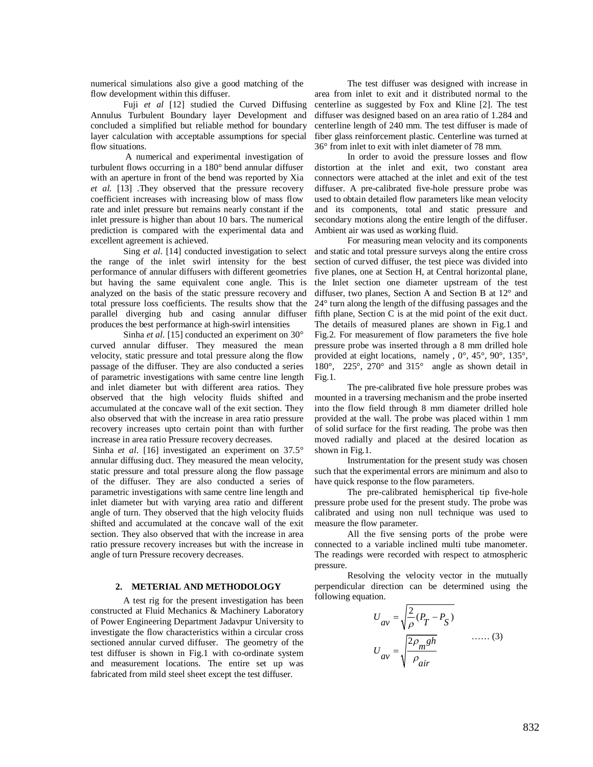numerical simulations also give a good matching of the flow development within this diffuser.

Fuji *et al* [12] studied the Curved Diffusing Annulus Turbulent Boundary layer Development and concluded a simplified but reliable method for boundary layer calculation with acceptable assumptions for special flow situations.

A numerical and experimental investigation of turbulent flows occurring in a 180° bend annular diffuser with an aperture in front of the bend was reported by Xia *et al.* [13] .They observed that the pressure recovery coefficient increases with increasing blow of mass flow rate and inlet pressure but remains nearly constant if the inlet pressure is higher than about 10 bars. The numerical prediction is compared with the experimental data and excellent agreement is achieved.

Sing *et al*. [14] conducted investigation to select the range of the inlet swirl intensity for the best performance of annular diffusers with different geometries but having the same equivalent cone angle. This is analyzed on the basis of the static pressure recovery and total pressure loss coefficients. The results show that the parallel diverging hub and casing annular diffuser produces the best performance at high-swirl intensities

Sinha *et al*. [15] conducted an experiment on 30° curved annular diffuser. They measured the mean velocity, static pressure and total pressure along the flow passage of the diffuser. They are also conducted a series of parametric investigations with same centre line length and inlet diameter but with different area ratios. They observed that the high velocity fluids shifted and accumulated at the concave wall of the exit section. They also observed that with the increase in area ratio pressure recovery increases upto certain point than with further increase in area ratio Pressure recovery decreases.

Sinha *et al*. [16] investigated an experiment on 37.5° annular diffusing duct. They measured the mean velocity, static pressure and total pressure along the flow passage of the diffuser. They are also conducted a series of parametric investigations with same centre line length and inlet diameter but with varying area ratio and different angle of turn. They observed that the high velocity fluids shifted and accumulated at the concave wall of the exit section. They also observed that with the increase in area ratio pressure recovery increases but with the increase in angle of turn Pressure recovery decreases.

# **2. METERIAL AND METHODOLOGY**

A test rig for the present investigation has been constructed at Fluid Mechanics & Machinery Laboratory of Power Engineering Department Jadavpur University to investigate the flow characteristics within a circular cross sectioned annular curved diffuser. The geometry of the test diffuser is shown in Fig.1 with co-ordinate system and measurement locations. The entire set up was fabricated from mild steel sheet except the test diffuser.

The test diffuser was designed with increase in area from inlet to exit and it distributed normal to the centerline as suggested by Fox and Kline [2]. The test diffuser was designed based on an area ratio of 1.284 and centerline length of 240 mm. The test diffuser is made of fiber glass reinforcement plastic. Centerline was turned at 36° from inlet to exit with inlet diameter of 78 mm.

In order to avoid the pressure losses and flow distortion at the inlet and exit, two constant area connectors were attached at the inlet and exit of the test diffuser. A pre-calibrated five-hole pressure probe was used to obtain detailed flow parameters like mean velocity and its components, total and static pressure and secondary motions along the entire length of the diffuser. Ambient air was used as working fluid.

For measuring mean velocity and its components and static and total pressure surveys along the entire cross section of curved diffuser, the test piece was divided into five planes, one at Section H, at Central horizontal plane, the Inlet section one diameter upstream of the test diffuser, two planes, Section A and Section B at 12° and 24° turn along the length of the diffusing passages and the fifth plane, Section C is at the mid point of the exit duct. The details of measured planes are shown in Fig.1 and Fig.2. For measurement of flow parameters the five hole pressure probe was inserted through a 8 mm drilled hole provided at eight locations, namely , 0°, 45°, 90°, 135°, 180°, 225°, 270° and 315° angle as shown detail in Fig.1.

The pre-calibrated five hole pressure probes was mounted in a traversing mechanism and the probe inserted into the flow field through 8 mm diameter drilled hole provided at the wall. The probe was placed within 1 mm of solid surface for the first reading. The probe was then moved radially and placed at the desired location as shown in Fig.1.

Instrumentation for the present study was chosen such that the experimental errors are minimum and also to have quick response to the flow parameters.

The pre-calibrated hemispherical tip five-hole pressure probe used for the present study. The probe was calibrated and using non null technique was used to measure the flow parameter.

All the five sensing ports of the probe were connected to a variable inclined multi tube manometer. The readings were recorded with respect to atmospheric pressure.

Resolving the velocity vector in the mutually perpendicular direction can be determined using the following equation.

$$
U_{av} = \sqrt{\frac{2}{\rho}(P_T - P_S)}
$$
  

$$
U_{av} = \sqrt{\frac{2\rho_m gh}{\rho_{air}}}
$$
 ...... (3)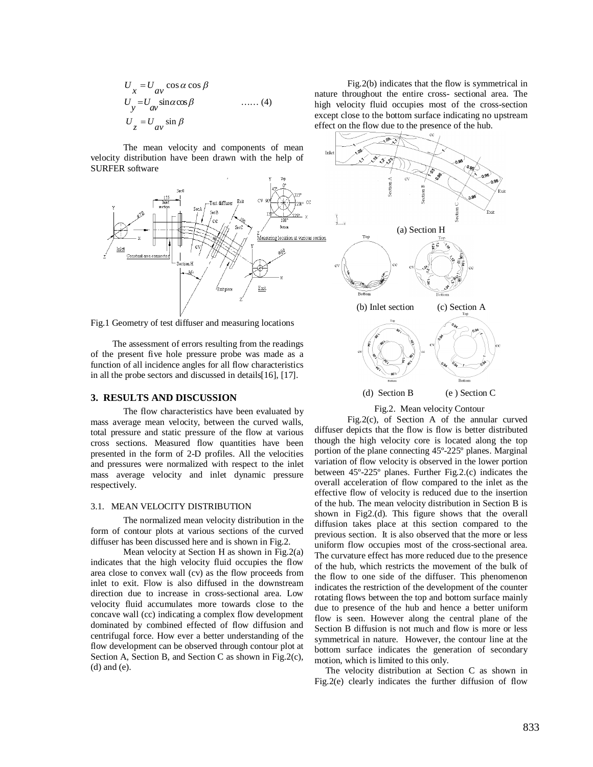$$
U_x = U_{av} \cos \alpha \cos \beta
$$
  
\n
$$
U_y = U_{av} \sin \alpha \cos \beta
$$
 ...... (4)  
\n
$$
U_z = U_{av} \sin \beta
$$

The mean velocity and components of mean velocity distribution have been drawn with the help of SURFER software



Fig.1 Geometry of test diffuser and measuring locations

The assessment of errors resulting from the readings of the present five hole pressure probe was made as a function of all incidence angles for all flow characteristics in all the probe sectors and discussed in details[16], [17].

# **3. RESULTS AND DISCUSSION**

The flow characteristics have been evaluated by mass average mean velocity, between the curved walls, total pressure and static pressure of the flow at various cross sections. Measured flow quantities have been presented in the form of 2-D profiles. All the velocities and pressures were normalized with respect to the inlet mass average velocity and inlet dynamic pressure respectively.

#### 3.1. MEAN VELOCITY DISTRIBUTION

The normalized mean velocity distribution in the form of contour plots at various sections of the curved diffuser has been discussed here and is shown in Fig.2.

Mean velocity at Section H as shown in Fig.2(a) indicates that the high velocity fluid occupies the flow area close to convex wall (cv) as the flow proceeds from inlet to exit. Flow is also diffused in the downstream direction due to increase in cross-sectional area. Low velocity fluid accumulates more towards close to the concave wall (cc) indicating a complex flow development dominated by combined effected of flow diffusion and centrifugal force. How ever a better understanding of the flow development can be observed through contour plot at Section A, Section B, and Section C as shown in Fig.2(c), (d) and (e).

Fig.2(b) indicates that the flow is symmetrical in nature throughout the entire cross- sectional area. The high velocity fluid occupies most of the cross-section except close to the bottom surface indicating no upstream effect on the flow due to the presence of the hub.



#### Fig.2. Mean velocity Contour

Fig.2(c), of Section A of the annular curved diffuser depicts that the flow is flow is better distributed though the high velocity core is located along the top portion of the plane connecting 45º-225º planes. Marginal variation of flow velocity is observed in the lower portion between 45º-225º planes. Further Fig.2.(c) indicates the overall acceleration of flow compared to the inlet as the effective flow of velocity is reduced due to the insertion of the hub. The mean velocity distribution in Section B is shown in Fig2.(d). This figure shows that the overall diffusion takes place at this section compared to the previous section. It is also observed that the more or less uniform flow occupies most of the cross-sectional area. The curvature effect has more reduced due to the presence of the hub, which restricts the movement of the bulk of the flow to one side of the diffuser. This phenomenon indicates the restriction of the development of the counter rotating flows between the top and bottom surface mainly due to presence of the hub and hence a better uniform flow is seen. However along the central plane of the Section B diffusion is not much and flow is more or less symmetrical in nature. However, the contour line at the bottom surface indicates the generation of secondary motion, which is limited to this only.

The velocity distribution at Section C as shown in Fig.2(e) clearly indicates the further diffusion of flow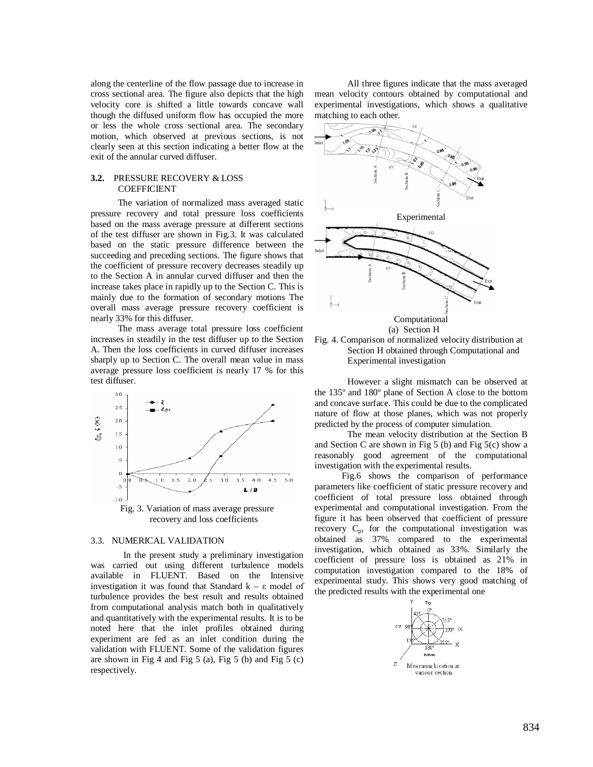along the centerline of the flow passage due to increase in cross sectional area. The figure also depicts that the high velocity core is shifted a little towards concave wall though the diffused uniform flow has occupied the more or less the whole cross sectional area. The secondary motion, which observed at previous sections, is not clearly seen at this section indicating a better flow at the exit of the annular curved diffuser.

## **3.2.** PRESSURE RECOVERY & LOSS COEFFICIENT

The variation of normalized mass averaged static pressure recovery and total pressure loss coefficients based on the mass average pressure at different sections of the test diffuser are shown in Fig.3. It was calculated based on the static pressure difference between the succeeding and preceding sections. The figure shows that the coefficient of pressure recovery decreases steadily up to the Section A in annular curved diffuser and then the increase takes place in rapidly up to the Section C. This is mainly due to the formation of secondary motions The overall mass average pressure recovery coefficient is nearly 33% for this diffuser.

The mass average total pressure loss coefficient increases in steadily in the test diffuser up to the Section A. Then the loss coefficients in curved diffuser increases sharply up to Section C. The overall mean value in mass average pressure loss coefficient is nearly 17 % for this test diffuser.



## 3.3. NUMERICAL VALIDATION

In the present study a preliminary investigation was carried out using different turbulence models available in FLUENT. Based on the Intensive investigation it was found that Standard  $k - \varepsilon$  model of turbulence provides the best result and results obtained from computational analysis match both in qualitatively and quantitatively with the experimental results. It is to be noted here that the inlet profiles obtained during experiment are fed as an inlet condition during the validation with FLUENT. Some of the validation figures are shown in Fig 4 and Fig 5 (a), Fig 5 (b) and Fig 5 (c) respectively.

All three figures indicate that the mass averaged mean velocity contours obtained by computational and experimental investigations, which shows a qualitative matching to each other.





However a slight mismatch can be observed at the 135º and 180º plane of Section A close to the bottom and concave surface. This could be due to the complicated nature of flow at those planes, which was not properly predicted by the process of computer simulation.

The mean velocity distribution at the Section B and Section C are shown in Fig  $5$  (b) and Fig  $5$ (c) show a reasonably good agreement of the computational investigation with the experimental results.

 Fig.6 shows the comparison of performance parameters like coefficient of static pressure recovery and coefficient of total pressure loss obtained through experimental and computational investigation. From the figure it has been observed that coefficient of pressure recovery  $C_{\text{pr}}$  for the computational investigation was obtained as 37% compared to the experimental investigation, which obtained as 33%. Similarly the coefficient of pressure loss is obtained as 21% in computation investigation compared to the 18% of experimental study. This shows very good matching of the predicted results with the experimental one

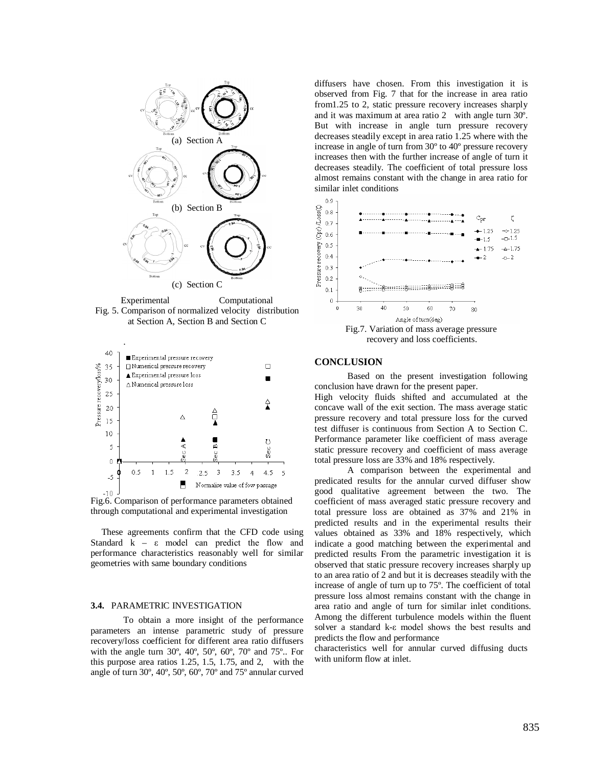

Experimental Computational Fig. 5. Comparison of normalized velocity distribution at Section A, Section B and Section C

.



Fig.6. Comparison of performance parameters obtained through computational and experimental investigation

These agreements confirm that the CFD code using Standard k – ε model can predict the flow and performance characteristics reasonably well for similar geometries with same boundary conditions

#### **3.4.** PARAMETRIC INVESTIGATION

To obtain a more insight of the performance parameters an intense parametric study of pressure recovery/loss coefficient for different area ratio diffusers with the angle turn 30º, 40º, 50º, 60º, 70º and 75º.. For this purpose area ratios 1.25, 1.5, 1.75, and 2, with the angle of turn 30º, 40º, 50º, 60º, 70º and 75º annular curved

diffusers have chosen. From this investigation it is observed from Fig. 7 that for the increase in area ratio from1.25 to 2, static pressure recovery increases sharply and it was maximum at area ratio 2 with angle turn 30º. But with increase in angle turn pressure recovery decreases steadily except in area ratio 1.25 where with the increase in angle of turn from 30º to 40º pressure recovery increases then with the further increase of angle of turn it decreases steadily. The coefficient of total pressure loss almost remains constant with the change in area ratio for similar inlet conditions



recovery and loss coefficients.

# **CONCLUSION**

Based on the present investigation following conclusion have drawn for the present paper.

High velocity fluids shifted and accumulated at the concave wall of the exit section. The mass average static pressure recovery and total pressure loss for the curved test diffuser is continuous from Section A to Section C. Performance parameter like coefficient of mass average static pressure recovery and coefficient of mass average total pressure loss are 33% and 18% respectively.

A comparison between the experimental and predicated results for the annular curved diffuser show good qualitative agreement between the two. The coefficient of mass averaged static pressure recovery and total pressure loss are obtained as 37% and 21% in predicted results and in the experimental results their values obtained as 33% and 18% respectively, which indicate a good matching between the experimental and predicted results From the parametric investigation it is observed that static pressure recovery increases sharply up to an area ratio of 2 and but it is decreases steadily with the increase of angle of turn up to 75º. The coefficient of total pressure loss almost remains constant with the change in area ratio and angle of turn for similar inlet conditions. Among the different turbulence models within the fluent solver a standard k-ε model shows the best results and predicts the flow and performance

characteristics well for annular curved diffusing ducts with uniform flow at inlet.